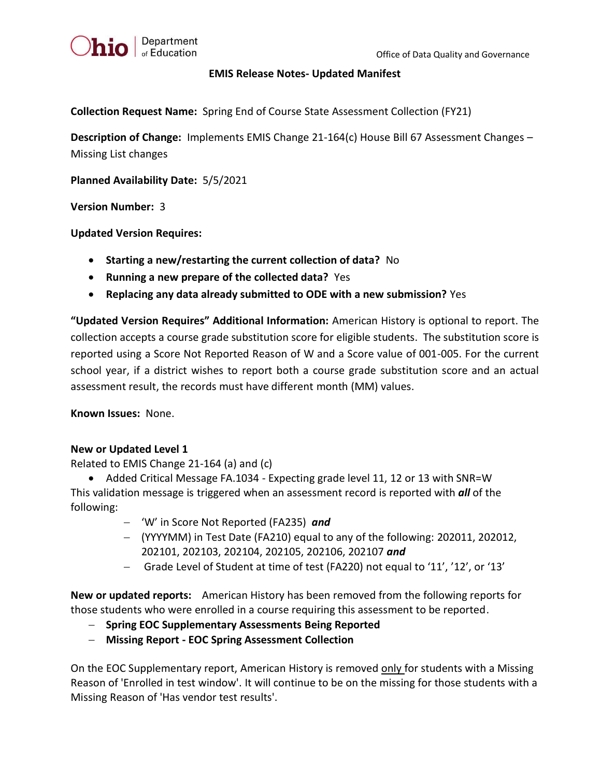

## **EMIS Release Notes- Updated Manifest**

**Collection Request Name:** Spring End of Course State Assessment Collection (FY21)

**Description of Change:** Implements EMIS Change 21-164(c) House Bill 67 Assessment Changes – Missing List changes

**Planned Availability Date:** 5/5/2021

**Version Number:** 3

**Updated Version Requires:** 

- **Starting a new/restarting the current collection of data?** No
- **Running a new prepare of the collected data?** Yes
- **Replacing any data already submitted to ODE with a new submission?** Yes

**"Updated Version Requires" Additional Information:** American History is optional to report. The collection accepts a course grade substitution score for eligible students. The substitution score is reported using a Score Not Reported Reason of W and a Score value of 001-005. For the current school year, if a district wishes to report both a course grade substitution score and an actual assessment result, the records must have different month (MM) values.

**Known Issues:** None.

## **New or Updated Level 1**

Related to EMIS Change 21-164 (a) and (c)

• Added Critical Message FA.1034 - Expecting grade level 11, 12 or 13 with SNR=W This validation message is triggered when an assessment record is reported with *all* of the following:

- − 'W' in Score Not Reported (FA235) *and*
- − (YYYYMM) in Test Date (FA210) equal to any of the following: 202011, 202012, 202101, 202103, 202104, 202105, 202106, 202107 *and*
- − Grade Level of Student at time of test (FA220) not equal to '11', '12', or '13'

**New or updated reports:** American History has been removed from the following reports for those students who were enrolled in a course requiring this assessment to be reported.

- − **Spring EOC Supplementary Assessments Being Reported**
- − **Missing Report - EOC Spring Assessment Collection**

On the EOC Supplementary report, American History is removed only for students with a Missing Reason of 'Enrolled in test window'. It will continue to be on the missing for those students with a Missing Reason of 'Has vendor test results'.